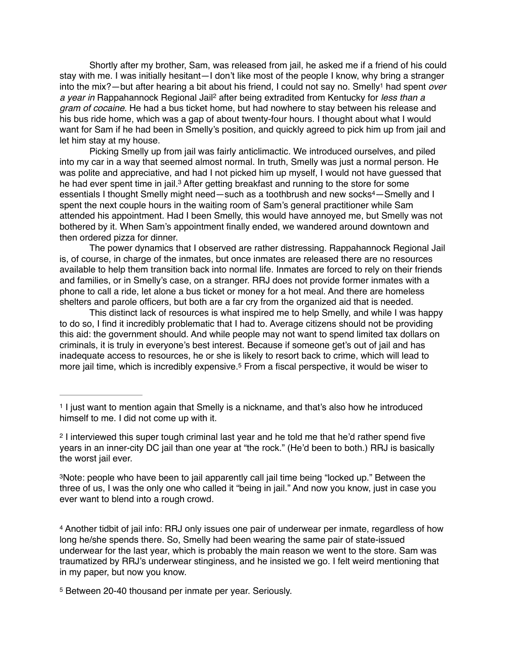Shortly after my brother, Sam, was released from jail, he asked me if a friend of his could stay with me. I was initially hesitant—I don't like most of the people I know, why bring a stranger into the mix?—but after hearing a bit about his friend, I could not say no. Smelly<sup>1</sup> had spent *over a year in* Rappahannock Regional Jail<sup>2</sup> after being extradited from Kentucky for *less than a gram of cocaine*. He had a bus ticket home, but had nowhere to stay between his release and his bus ride home, which was a gap of about twenty-four hours. I thought about what I would want for Sam if he had been in Smelly's position, and quickly agreed to pick him up from jail and let him stay at my house.

Picking Smelly up from jail was fairly anticlimactic. We introduced ourselves, and piled into my car in a way that seemed almost normal. In truth, Smelly was just a normal person. He was polite and appreciative, and had I not picked him up myself, I would not have guessed that he had ever spent time in jail.<sup>3</sup> After getting breakfast and running to the store for some essentials I thought Smelly might need—such as a toothbrush and new socks<sup>4</sup>—Smelly and I spent the next couple hours in the waiting room of Sam's general practitioner while Sam attended his appointment. Had I been Smelly, this would have annoyed me, but Smelly was not bothered by it. When Sam's appointment finally ended, we wandered around downtown and then ordered pizza for dinner.

The power dynamics that I observed are rather distressing. Rappahannock Regional Jail is, of course, in charge of the inmates, but once inmates are released there are no resources available to help them transition back into normal life. Inmates are forced to rely on their friends and families, or in Smelly's case, on a stranger. RRJ does not provide former inmates with a phone to call a ride, let alone a bus ticket or money for a hot meal. And there are homeless shelters and parole officers, but both are a far cry from the organized aid that is needed.

This distinct lack of resources is what inspired me to help Smelly, and while I was happy to do so, I find it incredibly problematic that I had to. Average citizens should not be providing this aid: the government should. And while people may not want to spend limited tax dollars on criminals, it is truly in everyone's best interest. Because if someone get's out of jail and has inadequate access to resources, he or she is likely to resort back to crime, which will lead to more jail time, which is incredibly expensive.<sup>5</sup> From a fiscal perspective, it would be wiser to

Another tidbit of jail info: RRJ only issues one pair of underwear per inmate, regardless of how 4 long he/she spends there. So, Smelly had been wearing the same pair of state-issued underwear for the last year, which is probably the main reason we went to the store. Sam was traumatized by RRJ's underwear stinginess, and he insisted we go. I felt weird mentioning that in my paper, but now you know.

<sup>&</sup>lt;sup>1</sup> I just want to mention again that Smelly is a nickname, and that's also how he introduced himself to me. I did not come up with it.

<sup>&</sup>lt;sup>2</sup> I interviewed this super tough criminal last year and he told me that he'd rather spend five years in an inner-city DC jail than one year at "the rock." (He'd been to both.) RRJ is basically the worst jail ever.

<sup>&</sup>lt;sup>3</sup>Note: people who have been to jail apparently call jail time being "locked up." Between the three of us, I was the only one who called it "being in jail." And now you know, just in case you ever want to blend into a rough crowd.

<sup>&</sup>lt;sup>5</sup> Between 20-40 thousand per inmate per year. Seriously.